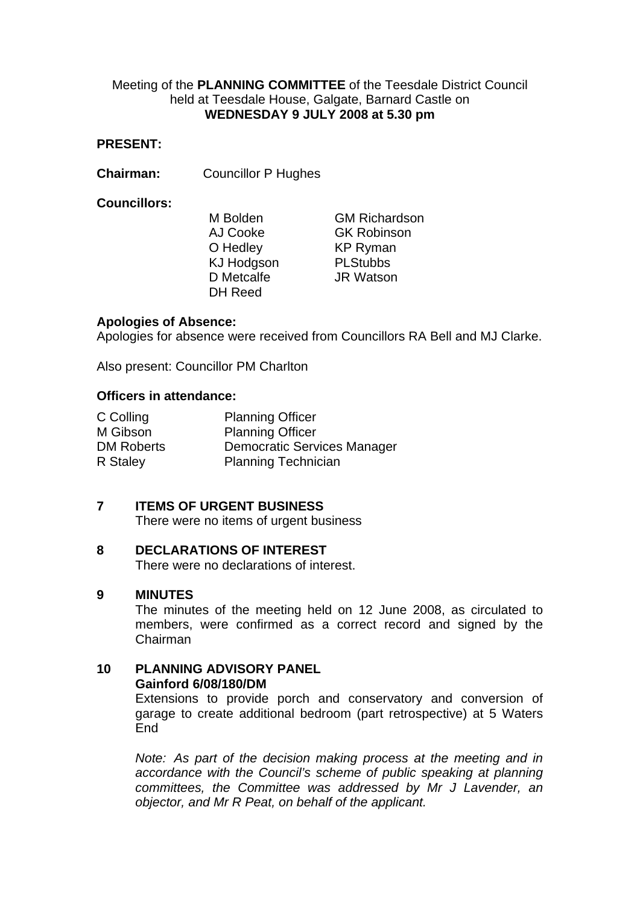## Meeting of the **PLANNING COMMITTEE** of the Teesdale District Council held at Teesdale House, Galgate, Barnard Castle on **WEDNESDAY 9 JULY 2008 at 5.30 pm**

## **PRESENT:**

**Chairman:** Councillor P Hughes

### **Councillors:**

O Hedley KP Ryman KJ Hodgson PLStubbs D Metcalfe **JR Watson** DH Reed

M Bolden GM Richardson AJ Cooke GK Robinson

## **Apologies of Absence:**

Apologies for absence were received from Councillors RA Bell and MJ Clarke.

Also present: Councillor PM Charlton

### **Officers in attendance:**

| C Colling  | <b>Planning Officer</b>            |
|------------|------------------------------------|
| M Gibson   | <b>Planning Officer</b>            |
| DM Roberts | <b>Democratic Services Manager</b> |
| R Staley   | <b>Planning Technician</b>         |

## **7 ITEMS OF URGENT BUSINESS**

There were no items of urgent business

### **8 DECLARATIONS OF INTEREST**

There were no declarations of interest.

### **9 MINUTES**

The minutes of the meeting held on 12 June 2008, as circulated to members, were confirmed as a correct record and signed by the Chairman

### **10 PLANNING ADVISORY PANEL Gainford 6/08/180/DM**

Extensions to provide porch and conservatory and conversion of garage to create additional bedroom (part retrospective) at 5 Waters End

*Note: As part of the decision making process at the meeting and in accordance with the Council's scheme of public speaking at planning committees, the Committee was addressed by Mr J Lavender, an objector, and Mr R Peat, on behalf of the applicant.*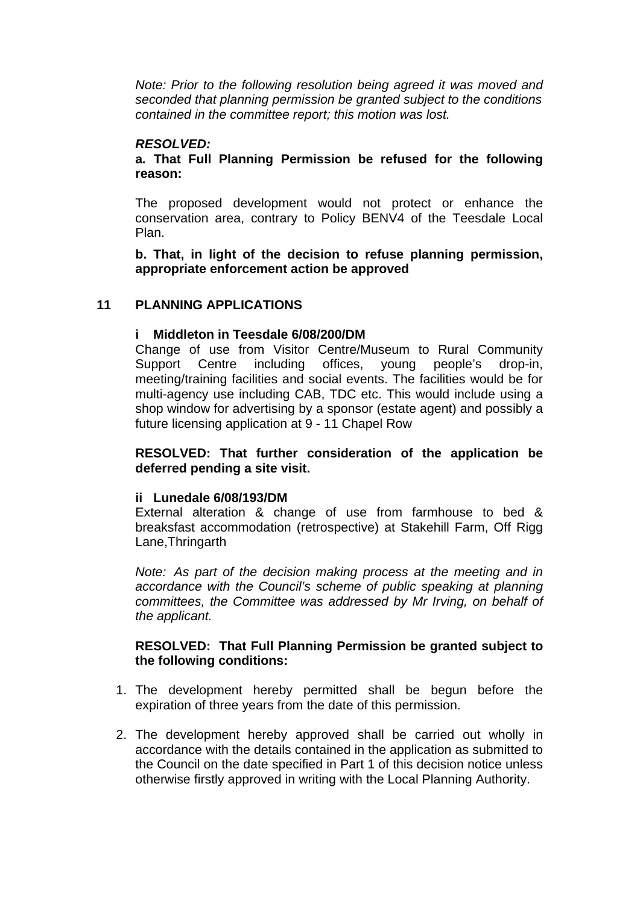*Note: Prior to the following resolution being agreed it was moved and seconded that planning permission be granted subject to the conditions contained in the committee report; this motion was lost.* 

# *RESOLVED:*

**a***.* **That Full Planning Permission be refused for the following reason:** 

The proposed development would not protect or enhance the conservation area, contrary to Policy BENV4 of the Teesdale Local Plan.

**b. That, in light of the decision to refuse planning permission, appropriate enforcement action be approved** 

## **11 PLANNING APPLICATIONS**

## **i Middleton in Teesdale 6/08/200/DM**

Change of use from Visitor Centre/Museum to Rural Community Support Centre including offices, young people's drop-in, meeting/training facilities and social events. The facilities would be for multi-agency use including CAB, TDC etc. This would include using a shop window for advertising by a sponsor (estate agent) and possibly a future licensing application at 9 - 11 Chapel Row

**RESOLVED: That further consideration of the application be deferred pending a site visit.** 

### **ii Lunedale 6/08/193/DM**

 External alteration & change of use from farmhouse to bed & breaksfast accommodation (retrospective) at Stakehill Farm, Off Rigg Lane,Thringarth

*Note: As part of the decision making process at the meeting and in accordance with the Council's scheme of public speaking at planning committees, the Committee was addressed by Mr Irving, on behalf of the applicant.* 

## **RESOLVED: That Full Planning Permission be granted subject to the following conditions:**

- 1. The development hereby permitted shall be begun before the expiration of three years from the date of this permission.
- 2. The development hereby approved shall be carried out wholly in accordance with the details contained in the application as submitted to the Council on the date specified in Part 1 of this decision notice unless otherwise firstly approved in writing with the Local Planning Authority.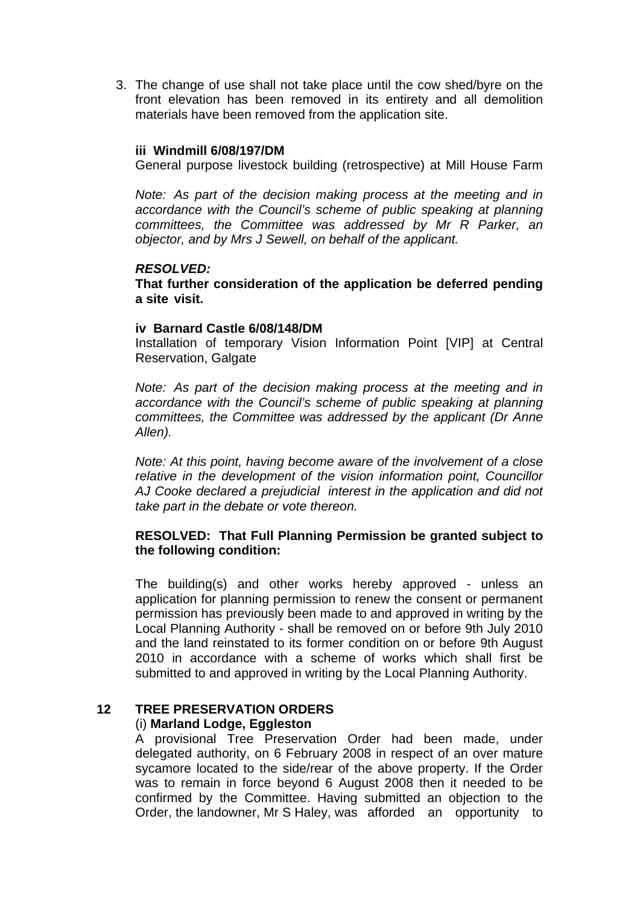3. The change of use shall not take place until the cow shed/byre on the front elevation has been removed in its entirety and all demolition materials have been removed from the application site.

### **iii Windmill 6/08/197/DM**

General purpose livestock building (retrospective) at Mill House Farm

*Note: As part of the decision making process at the meeting and in accordance with the Council's scheme of public speaking at planning committees, the Committee was addressed by Mr R Parker, an objector, and by Mrs J Sewell, on behalf of the applicant.* 

## *RESOLVED:*

**That further consideration of the application be deferred pending a site visit.** 

### **iv Barnard Castle 6/08/148/DM**

 Installation of temporary Vision Information Point [VIP] at Central Reservation, Galgate

*Note: As part of the decision making process at the meeting and in accordance with the Council's scheme of public speaking at planning committees, the Committee was addressed by the applicant (Dr Anne Allen).* 

*Note: At this point, having become aware of the involvement of a close relative in the development of the vision information point, Councillor AJ Cooke declared a prejudicial interest in the application and did not take part in the debate or vote thereon.* 

## **RESOLVED: That Full Planning Permission be granted subject to the following condition:**

The building(s) and other works hereby approved - unless an application for planning permission to renew the consent or permanent permission has previously been made to and approved in writing by the Local Planning Authority - shall be removed on or before 9th July 2010 and the land reinstated to its former condition on or before 9th August 2010 in accordance with a scheme of works which shall first be submitted to and approved in writing by the Local Planning Authority.

## **12 TREE PRESERVATION ORDERS**

### (i) **Marland Lodge, Eggleston**

 A provisional Tree Preservation Order had been made, under delegated authority, on 6 February 2008 in respect of an over mature sycamore located to the side/rear of the above property. If the Order was to remain in force beyond 6 August 2008 then it needed to be confirmed by the Committee. Having submitted an objection to the Order, the landowner, Mr S Haley, was afforded an opportunity to